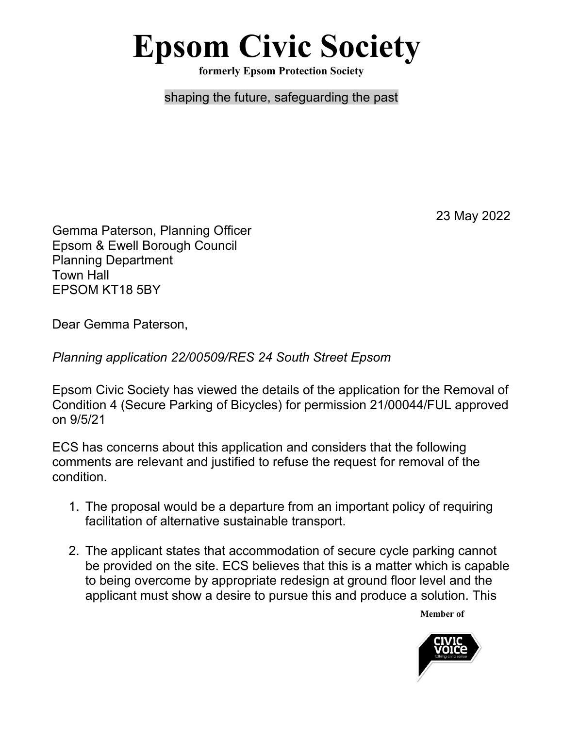## **Epsom Civic Society**

**formerly Epsom Protection Society**

shaping the future, safeguarding the past

23 May 2022

Gemma Paterson, Planning Officer Epsom & Ewell Borough Council Planning Department Town Hall EPSOM KT18 5BY

Dear Gemma Paterson,

*Planning application 22/00509/RES 24 South Street Epsom*

Epsom Civic Society has viewed the details of the application for the Removal of Condition 4 (Secure Parking of Bicycles) for permission 21/00044/FUL approved on 9/5/21

ECS has concerns about this application and considers that the following comments are relevant and justified to refuse the request for removal of the condition.

- 1. The proposal would be a departure from an important policy of requiring facilitation of alternative sustainable transport.
- 2. The applicant states that accommodation of secure cycle parking cannot be provided on the site. ECS believes that this is a matter which is capable to being overcome by appropriate redesign at ground floor level and the applicant must show a desire to pursue this and produce a solution. This

**Member of**